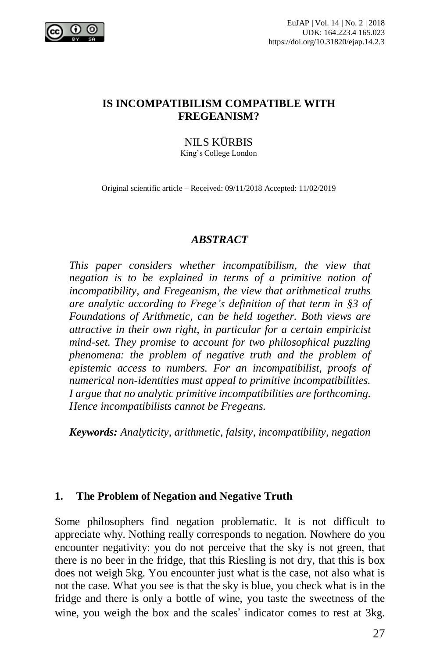

### **IS INCOMPATIBILISM COMPATIBLE WITH FREGEANISM?**

# NILS KÜRBIS

King's College London

Original scientific article – Received: 09/11/2018 Accepted: 11/02/2019

#### *ABSTRACT*

*This paper considers whether incompatibilism, the view that negation is to be explained in terms of a primitive notion of incompatibility, and Fregeanism, the view that arithmetical truths are analytic according to Frege's definition of that term in §3 of Foundations of Arithmetic, can be held together. Both views are attractive in their own right, in particular for a certain empiricist mind-set. They promise to account for two philosophical puzzling phenomena: the problem of negative truth and the problem of epistemic access to numbers. For an incompatibilist, proofs of numerical non-identities must appeal to primitive incompatibilities. I argue that no analytic primitive incompatibilities are forthcoming. Hence incompatibilists cannot be Fregeans.*

*Keywords: Analyticity, arithmetic, falsity, incompatibility, negation*

### **1. The Problem of Negation and Negative Truth**

Some philosophers find negation problematic. It is not difficult to appreciate why. Nothing really corresponds to negation. Nowhere do you encounter negativity: you do not perceive that the sky is not green, that there is no beer in the fridge, that this Riesling is not dry, that this is box does not weigh 5kg. You encounter just what is the case, not also what is not the case. What you see is that the sky is blue, you check what is in the fridge and there is only a bottle of wine, you taste the sweetness of the wine, you weigh the box and the scales' indicator comes to rest at 3kg.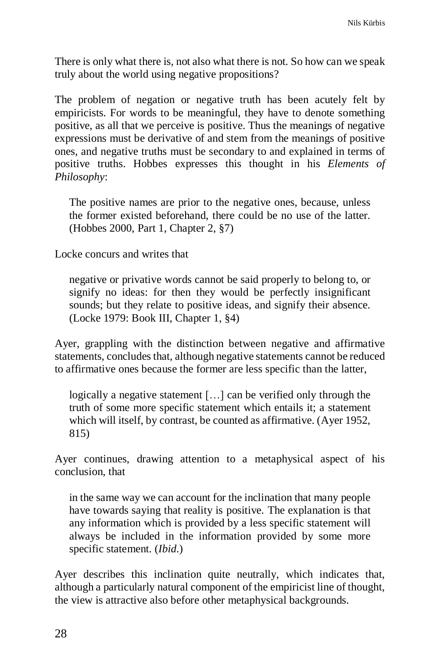There is only what there is, not also what there is not. So how can we speak truly about the world using negative propositions?

The problem of negation or negative truth has been acutely felt by empiricists. For words to be meaningful, they have to denote something positive, as all that we perceive is positive. Thus the meanings of negative expressions must be derivative of and stem from the meanings of positive ones, and negative truths must be secondary to and explained in terms of positive truths. Hobbes expresses this thought in his *Elements of Philosophy*:

The positive names are prior to the negative ones, because, unless the former existed beforehand, there could be no use of the latter. (Hobbes 2000, Part 1, Chapter 2, §7)

Locke concurs and writes that

negative or privative words cannot be said properly to belong to, or signify no ideas: for then they would be perfectly insignificant sounds; but they relate to positive ideas, and signify their absence. (Locke 1979: Book III, Chapter 1, §4)

Ayer, grappling with the distinction between negative and affirmative statements, concludes that, although negative statements cannot be reduced to affirmative ones because the former are less specific than the latter,

logically a negative statement […] can be verified only through the truth of some more specific statement which entails it; a statement which will itself, by contrast, be counted as affirmative. (Ayer 1952, 815)

Ayer continues, drawing attention to a metaphysical aspect of his conclusion, that

in the same way we can account for the inclination that many people have towards saying that reality is positive. The explanation is that any information which is provided by a less specific statement will always be included in the information provided by some more specific statement. (*Ibid*.)

Ayer describes this inclination quite neutrally, which indicates that, although a particularly natural component of the empiricist line of thought, the view is attractive also before other metaphysical backgrounds.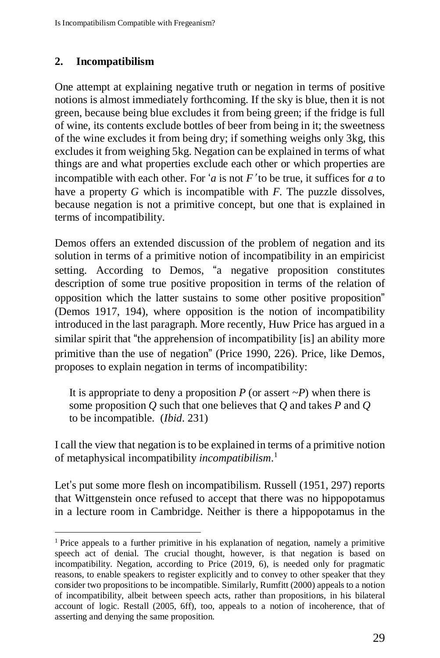# **2. Incompatibilism**

 $\overline{a}$ 

One attempt at explaining negative truth or negation in terms of positive notions is almost immediately forthcoming. If the sky is blue, then it is not green, because being blue excludes it from being green; if the fridge is full of wine, its contents exclude bottles of beer from being in it; the sweetness of the wine excludes it from being dry; if something weighs only 3kg, this excludes it from weighing 5kg. Negation can be explained in terms of what things are and what properties exclude each other or which properties are incompatible with each other. For '*a* is not *F*' to be true, it suffices for *a* to have a property *G* which is incompatible with *F*. The puzzle dissolves, because negation is not a primitive concept, but one that is explained in terms of incompatibility.

Demos offers an extended discussion of the problem of negation and its solution in terms of a primitive notion of incompatibility in an empiricist setting. According to Demos, "a negative proposition constitutes description of some true positive proposition in terms of the relation of opposition which the latter sustains to some other positive proposition" (Demos 1917, 194), where opposition is the notion of incompatibility introduced in the last paragraph. More recently, Huw Price has argued in a similar spirit that "the apprehension of incompatibility [is] an ability more primitive than the use of negation" (Price 1990, 226). Price, like Demos, proposes to explain negation in terms of incompatibility:

It is appropriate to deny a proposition  $P$  (or assert  $\sim P$ ) when there is some proposition *Q* such that one believes that *Q* and takes *P* and *Q* to be incompatible. (*Ibid*. 231)

I call the view that negation is to be explained in terms of a primitive notion of metaphysical incompatibility *incompatibilism*. 1

Let's put some more flesh on incompatibilism. Russell (1951, 297) reports that Wittgenstein once refused to accept that there was no hippopotamus in a lecture room in Cambridge. Neither is there a hippopotamus in the

<sup>&</sup>lt;sup>1</sup> Price appeals to a further primitive in his explanation of negation, namely a primitive speech act of denial. The crucial thought, however, is that negation is based on incompatibility. Negation, according to Price (2019, 6), is needed only for pragmatic reasons, to enable speakers to register explicitly and to convey to other speaker that they consider two propositions to be incompatible. Similarly, Rumfitt (2000) appeals to a notion of incompatibility, albeit between speech acts, rather than propositions, in his bilateral account of logic. Restall (2005, 6ff), too, appeals to a notion of incoherence, that of asserting and denying the same proposition.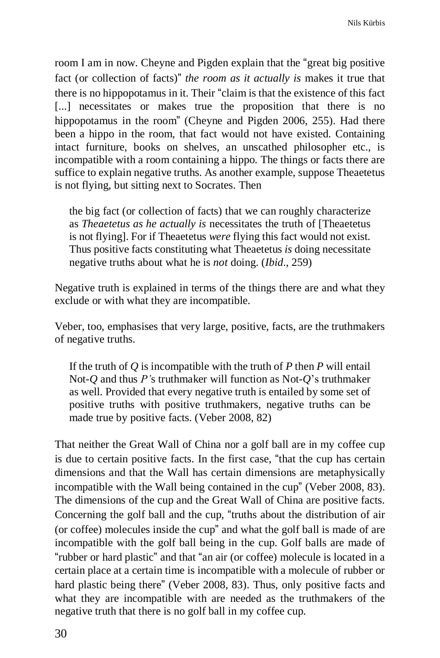room I am in now. Cheyne and Pigden explain that the "great big positive fact (or collection of facts)" *the room as it actually is* makes it true that there is no hippopotamus in it. Their "claim is that the existence of this fact [...] necessitates or makes true the proposition that there is no hippopotamus in the room" (Cheyne and Pigden 2006, 255). Had there been a hippo in the room, that fact would not have existed. Containing intact furniture, books on shelves, an unscathed philosopher etc., is incompatible with a room containing a hippo. The things or facts there are suffice to explain negative truths. As another example, suppose Theaetetus is not flying, but sitting next to Socrates. Then

the big fact (or collection of facts) that we can roughly characterize as *Theaetetus as he actually is* necessitates the truth of [Theaetetus is not flying]. For if Theaetetus *were* flying this fact would not exist. Thus positive facts constituting what Theaetetus *is* doing necessitate negative truths about what he is *not* doing. (*Ibid*., 259)

Negative truth is explained in terms of the things there are and what they exclude or with what they are incompatible.

Veber, too, emphasises that very large, positive, facts, are the truthmakers of negative truths.

If the truth of *Q* is incompatible with the truth of *P* then *P* will entail Not-*Q* and thus *P'*s truthmaker will function as Not-*Q*'s truthmaker as well. Provided that every negative truth is entailed by some set of positive truths with positive truthmakers, negative truths can be made true by positive facts. (Veber 2008, 82)

That neither the Great Wall of China nor a golf ball are in my coffee cup is due to certain positive facts. In the first case, "that the cup has certain dimensions and that the Wall has certain dimensions are metaphysically incompatible with the Wall being contained in the cup" (Veber 2008, 83). The dimensions of the cup and the Great Wall of China are positive facts. Concerning the golf ball and the cup, "truths about the distribution of air (or coffee) molecules inside the cup" and what the golf ball is made of are incompatible with the golf ball being in the cup. Golf balls are made of "rubber or hard plastic" and that "an air (or coffee) molecule is located in a certain place at a certain time is incompatible with a molecule of rubber or hard plastic being there" (Veber 2008, 83). Thus, only positive facts and what they are incompatible with are needed as the truthmakers of the negative truth that there is no golf ball in my coffee cup.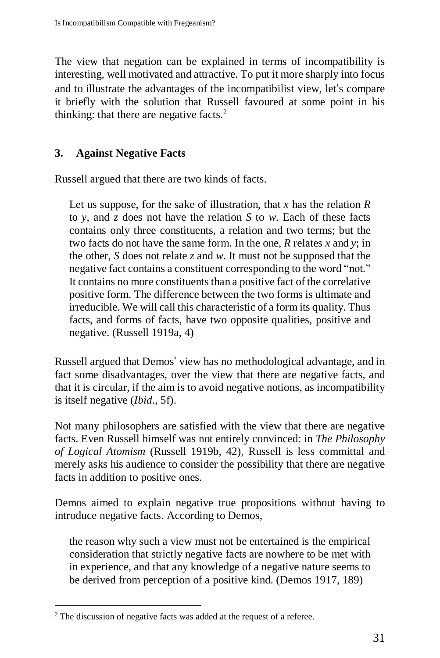The view that negation can be explained in terms of incompatibility is interesting, well motivated and attractive. To put it more sharply into focus and to illustrate the advantages of the incompatibilist view, let's compare it briefly with the solution that Russell favoured at some point in his thinking: that there are negative facts.<sup>2</sup>

# **3. Against Negative Facts**

Russell argued that there are two kinds of facts.

Let us suppose, for the sake of illustration, that *x* has the relation *R* to *y*, and *z* does not have the relation *S* to *w*. Each of these facts contains only three constituents, a relation and two terms; but the two facts do not have the same form. In the one, *R* relates *x* and *y*; in the other, *S* does not relate *z* and *w*. It must not be supposed that the negative fact contains a constituent corresponding to the word "not." It contains no more constituents than a positive fact of the correlative positive form. The difference between the two forms is ultimate and irreducible. We will call this characteristic of a form its quality. Thus facts, and forms of facts, have two opposite qualities, positive and negative. (Russell 1919a, 4)

Russell argued that Demos' view has no methodological advantage, and in fact some disadvantages, over the view that there are negative facts, and that it is circular, if the aim is to avoid negative notions, as incompatibility is itself negative (*Ibid*., 5f).

Not many philosophers are satisfied with the view that there are negative facts. Even Russell himself was not entirely convinced: in *The Philosophy of Logical Atomism* (Russell 1919b, 42), Russell is less committal and merely asks his audience to consider the possibility that there are negative facts in addition to positive ones.

Demos aimed to explain negative true propositions without having to introduce negative facts. According to Demos,

the reason why such a view must not be entertained is the empirical consideration that strictly negative facts are nowhere to be met with in experience, and that any knowledge of a negative nature seems to be derived from perception of a positive kind. (Demos 1917, 189)

 $\overline{a}$ <sup>2</sup> The discussion of negative facts was added at the request of a referee.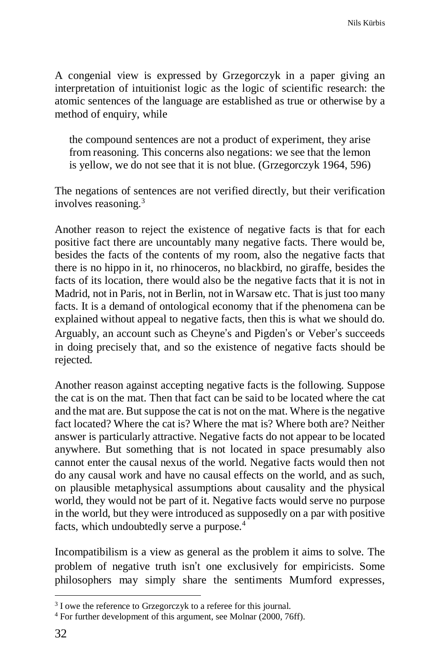A congenial view is expressed by Grzegorczyk in a paper giving an interpretation of intuitionist logic as the logic of scientific research: the atomic sentences of the language are established as true or otherwise by a method of enquiry, while

the compound sentences are not a product of experiment, they arise from reasoning. This concerns also negations: we see that the lemon is yellow, we do not see that it is not blue. (Grzegorczyk 1964, 596)

The negations of sentences are not verified directly, but their verification involves reasoning.<sup>3</sup>

Another reason to reject the existence of negative facts is that for each positive fact there are uncountably many negative facts. There would be, besides the facts of the contents of my room, also the negative facts that there is no hippo in it, no rhinoceros, no blackbird, no giraffe, besides the facts of its location, there would also be the negative facts that it is not in Madrid, not in Paris, not in Berlin, not in Warsaw etc. That is just too many facts. It is a demand of ontological economy that if the phenomena can be explained without appeal to negative facts, then this is what we should do. Arguably, an account such as Cheyne's and Pigden's or Veber's succeeds in doing precisely that, and so the existence of negative facts should be rejected.

Another reason against accepting negative facts is the following. Suppose the cat is on the mat. Then that fact can be said to be located where the cat and the mat are. But suppose the cat is not on the mat. Where is the negative fact located? Where the cat is? Where the mat is? Where both are? Neither answer is particularly attractive. Negative facts do not appear to be located anywhere. But something that is not located in space presumably also cannot enter the causal nexus of the world. Negative facts would then not do any causal work and have no causal effects on the world, and as such, on plausible metaphysical assumptions about causality and the physical world, they would not be part of it. Negative facts would serve no purpose in the world, but they were introduced as supposedly on a par with positive facts, which undoubtedly serve a purpose.<sup>4</sup>

Incompatibilism is a view as general as the problem it aims to solve. The problem of negative truth isn't one exclusively for empiricists. Some philosophers may simply share the sentiments Mumford expresses,

<sup>&</sup>lt;sup>3</sup> I owe the reference to Grzegorczyk to a referee for this journal.

<sup>4</sup> For further development of this argument, see Molnar (2000, 76ff).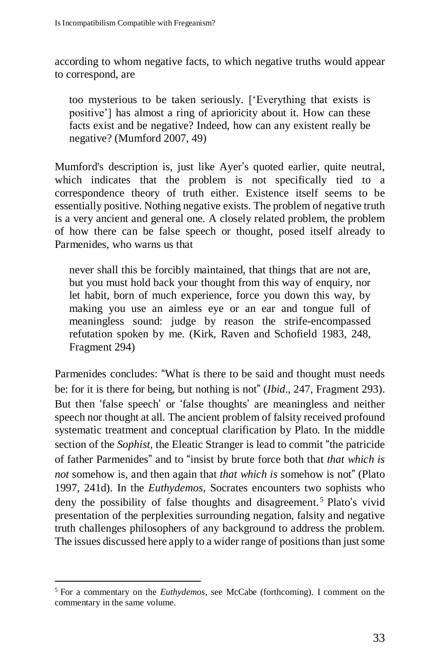according to whom negative facts, to which negative truths would appear to correspond, are

too mysterious to be taken seriously. ['Everything that exists is positive'] has almost a ring of aprioricity about it. How can these facts exist and be negative? Indeed, how can any existent really be negative? (Mumford 2007, 49)

Mumford's description is, just like Ayer's quoted earlier, quite neutral, which indicates that the problem is not specifically tied to a correspondence theory of truth either. Existence itself seems to be essentially positive. Nothing negative exists. The problem of negative truth is a very ancient and general one. A closely related problem, the problem of how there can be false speech or thought, posed itself already to Parmenides, who warns us that

never shall this be forcibly maintained, that things that are not are, but you must hold back your thought from this way of enquiry, nor let habit, born of much experience, force you down this way, by making you use an aimless eye or an ear and tongue full of meaningless sound: judge by reason the strife-encompassed refutation spoken by me. (Kirk, Raven and Schofield 1983, 248, Fragment 294)

Parmenides concludes: "What is there to be said and thought must needs be: for it is there for being, but nothing is not" (*Ibid*., 247, Fragment 293). But then 'false speech' or 'false thoughts' are meaningless and neither speech nor thought at all. The ancient problem of falsity received profound systematic treatment and conceptual clarification by Plato. In the middle section of the *Sophist,* the Eleatic Stranger is lead to commit "the patricide of father Parmenides" and to "insist by brute force both that *that which is not* somehow is, and then again that *that which is* somehow is not" (Plato 1997, 241d). In the *Euthydemos*, Socrates encounters two sophists who deny the possibility of false thoughts and disagreement.<sup>5</sup> Plato's vivid presentation of the perplexities surrounding negation, falsity and negative truth challenges philosophers of any background to address the problem. The issues discussed here apply to a wider range of positions than justsome

<sup>5</sup> For a commentary on the *Euthydemos*, see McCabe (forthcoming). I comment on the commentary in the same volume.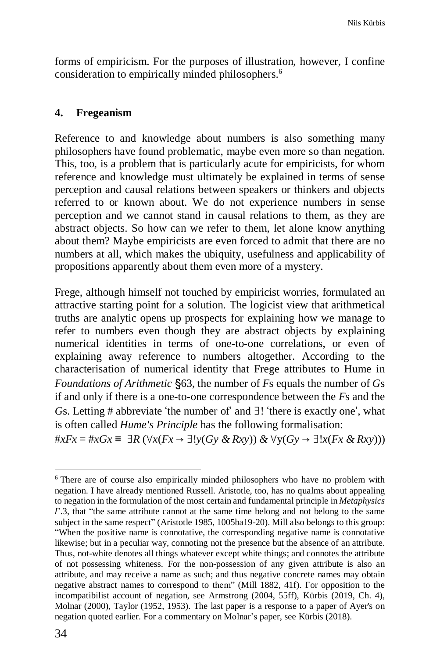forms of empiricism. For the purposes of illustration, however, I confine consideration to empirically minded philosophers.<sup>6</sup>

### **4. Fregeanism**

Reference to and knowledge about numbers is also something many philosophers have found problematic, maybe even more so than negation. This, too, is a problem that is particularly acute for empiricists, for whom reference and knowledge must ultimately be explained in terms of sense perception and causal relations between speakers or thinkers and objects referred to or known about. We do not experience numbers in sense perception and we cannot stand in causal relations to them, as they are abstract objects. So how can we refer to them, let alone know anything about them? Maybe empiricists are even forced to admit that there are no numbers at all, which makes the ubiquity, usefulness and applicability of propositions apparently about them even more of a mystery.

Frege, although himself not touched by empiricist worries, formulated an attractive starting point for a solution. The logicist view that arithmetical truths are analytic opens up prospects for explaining how we manage to refer to numbers even though they are abstract objects by explaining numerical identities in terms of one-to-one correlations, or even of explaining away reference to numbers altogether. According to the characterisation of numerical identity that Frege attributes to Hume in *Foundations of Arithmetic* §63, the number of *F*s equals the number of *G*s if and only if there is a one-to-one correspondence between the *F*s and the *Gs.* Letting # abbreviate 'the number of' and ∃! 'there is exactly one', what is often called *Hume's Principle* has the following formalisation:

#*xFx* = #*xGx* ≡ ∃*R* (∀*x*(*Fx* → ∃!*y*(*Gy & Rxy*)) *&* ∀y(*Gy* → ∃!*x*(*Fx & Rxy*)))

<sup>6</sup> There are of course also empirically minded philosophers who have no problem with negation. I have already mentioned Russell. Aristotle, too, has no qualms about appealing to negation in the formulation of the most certain and fundamental principle in *Metaphysics* .3, that "the same attribute cannot at the same time belong and not belong to the same subject in the same respect" (Aristotle 1985, 1005ba19-20). Mill also belongs to this group: "When the positive name is connotative, the corresponding negative name is connotative likewise; but in a peculiar way, connoting not the presence but the absence of an attribute. Thus, not-white denotes all things whatever except white things; and connotes the attribute of not possessing whiteness. For the non-possession of any given attribute is also an attribute, and may receive a name as such; and thus negative concrete names may obtain negative abstract names to correspond to them" (Mill 1882, 41f). For opposition to the incompatibilist account of negation, see Armstrong (2004, 55ff), Kürbis (2019, Ch. 4), Molnar (2000), Taylor (1952, 1953). The last paper is a response to a paper of Ayer's on negation quoted earlier. For a commentary on Molnar's paper, see Kürbis (2018).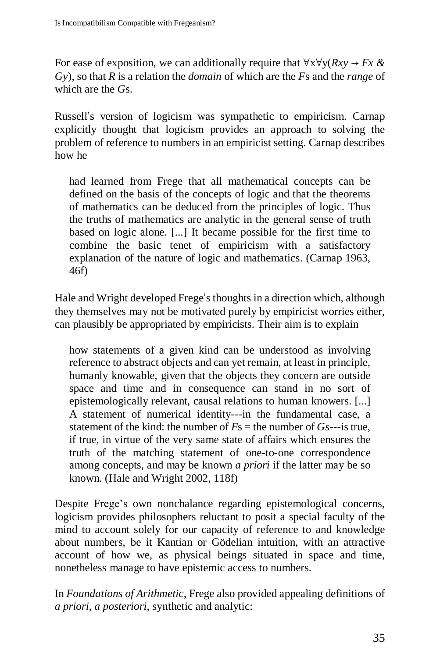For ease of exposition, we can additionally require that ∀x∀y(*Rxy* → *Fx & Gy*), so that *R* is a relation the *domain* of which are the *F*s and the *range* of which are the *G*s.

Russell's version of logicism was sympathetic to empiricism. Carnap explicitly thought that logicism provides an approach to solving the problem of reference to numbers in an empiricist setting. Carnap describes how he

had learned from Frege that all mathematical concepts can be defined on the basis of the concepts of logic and that the theorems of mathematics can be deduced from the principles of logic. Thus the truths of mathematics are analytic in the general sense of truth based on logic alone. [...] It became possible for the first time to combine the basic tenet of empiricism with a satisfactory explanation of the nature of logic and mathematics. (Carnap 1963, 46f)

Hale and Wright developed Frege's thoughts in a direction which, although they themselves may not be motivated purely by empiricist worries either, can plausibly be appropriated by empiricists. Their aim is to explain

how statements of a given kind can be understood as involving reference to abstract objects and can yet remain, at least in principle, humanly knowable, given that the objects they concern are outside space and time and in consequence can stand in no sort of epistemologically relevant, causal relations to human knowers. [...] A statement of numerical identity---in the fundamental case, a statement of the kind: the number of  $Fs =$  the number of  $Gs$ ---is true, if true, in virtue of the very same state of affairs which ensures the truth of the matching statement of one-to-one correspondence among concepts, and may be known *a priori* if the latter may be so known. (Hale and Wright 2002, 118f)

Despite Frege's own nonchalance regarding epistemological concerns, logicism provides philosophers reluctant to posit a special faculty of the mind to account solely for our capacity of reference to and knowledge about numbers, be it Kantian or Gödelian intuition, with an attractive account of how we, as physical beings situated in space and time, nonetheless manage to have epistemic access to numbers.

In *Foundations of Arithmetic*, Frege also provided appealing definitions of *a priori*, *a posteriori*, synthetic and analytic: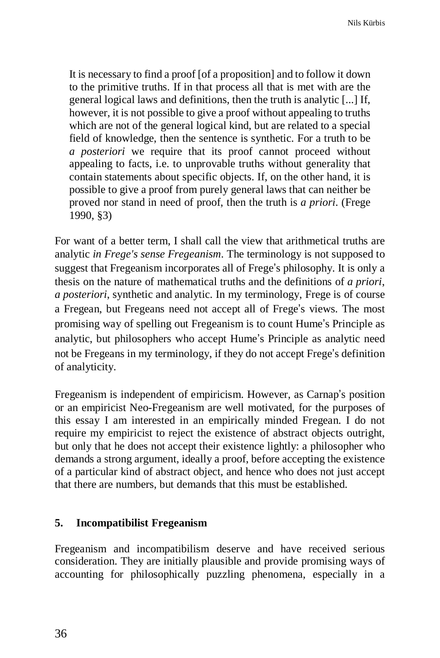It is necessary to find a proof [of a proposition] and to follow it down to the primitive truths. If in that process all that is met with are the general logical laws and definitions, then the truth is analytic [...] If, however, it is not possible to give a proof without appealing to truths which are not of the general logical kind, but are related to a special field of knowledge, then the sentence is synthetic. For a truth to be *a posteriori* we require that its proof cannot proceed without appealing to facts, i.e. to unprovable truths without generality that contain statements about specific objects. If, on the other hand, it is possible to give a proof from purely general laws that can neither be proved nor stand in need of proof, then the truth is *a priori*. (Frege 1990, §3)

For want of a better term, I shall call the view that arithmetical truths are analytic *in Frege's sense Fregeanism*. The terminology is not supposed to suggest that Fregeanism incorporates all of Frege's philosophy. It is only a thesis on the nature of mathematical truths and the definitions of *a priori*, *a posteriori*, synthetic and analytic. In my terminology, Frege is of course a Fregean, but Fregeans need not accept all of Frege's views. The most promising way of spelling out Fregeanism is to count Hume's Principle as analytic, but philosophers who accept Hume's Principle as analytic need not be Fregeans in my terminology, if they do not accept Frege's definition of analyticity.

Fregeanism is independent of empiricism. However, as Carnap's position or an empiricist Neo-Fregeanism are well motivated, for the purposes of this essay I am interested in an empirically minded Fregean. I do not require my empiricist to reject the existence of abstract objects outright, but only that he does not accept their existence lightly: a philosopher who demands a strong argument, ideally a proof, before accepting the existence of a particular kind of abstract object, and hence who does not just accept that there are numbers, but demands that this must be established.

### **5. Incompatibilist Fregeanism**

Fregeanism and incompatibilism deserve and have received serious consideration. They are initially plausible and provide promising ways of accounting for philosophically puzzling phenomena, especially in a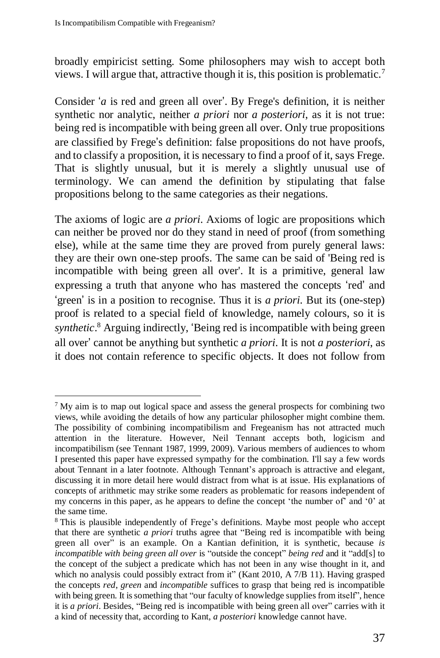$\overline{a}$ 

broadly empiricist setting. Some philosophers may wish to accept both views. I will argue that, attractive though it is, this position is problematic.<sup>7</sup>

Consider '*a* is red and green all over'. By Frege's definition, it is neither synthetic nor analytic, neither *a priori* nor *a posteriori*, as it is not true: being red is incompatible with being green all over. Only true propositions are classified by Frege's definition: false propositions do not have proofs, and to classify a proposition, it is necessary to find a proof of it, says Frege. That is slightly unusual, but it is merely a slightly unusual use of terminology. We can amend the definition by stipulating that false propositions belong to the same categories as their negations.

The axioms of logic are *a priori*. Axioms of logic are propositions which can neither be proved nor do they stand in need of proof (from something else), while at the same time they are proved from purely general laws: they are their own one-step proofs. The same can be said of 'Being red is incompatible with being green all over'. It is a primitive, general law expressing a truth that anyone who has mastered the concepts 'red' and 'green' is in a position to recognise. Thus it is *a priori*. But its (one-step) proof is related to a special field of knowledge, namely colours, so it is *synthetic*. <sup>8</sup> Arguing indirectly, 'Being red is incompatible with being green all over' cannot be anything but synthetic *a priori*. It is not *a posteriori*, as it does not contain reference to specific objects. It does not follow from

<sup>7</sup> My aim is to map out logical space and assess the general prospects for combining two views, while avoiding the details of how any particular philosopher might combine them. The possibility of combining incompatibilism and Fregeanism has not attracted much attention in the literature. However, Neil Tennant accepts both, logicism and incompatibilism (see Tennant 1987, 1999, 2009). Various members of audiences to whom I presented this paper have expressed sympathy for the combination. I'll say a few words about Tennant in a later footnote. Although Tennant's approach is attractive and elegant, discussing it in more detail here would distract from what is at issue. His explanations of concepts of arithmetic may strike some readers as problematic for reasons independent of my concerns in this paper, as he appears to define the concept 'the number of' and '0' at the same time.

<sup>8</sup> This is plausible independently of Frege's definitions. Maybe most people who accept that there are synthetic *a priori* truths agree that "Being red is incompatible with being green all over" is an example. On a Kantian definition, it is synthetic, because *is incompatible with being green all over* is "outside the concept" *being red* and it "add[s] to the concept of the subject a predicate which has not been in any wise thought in it, and which no analysis could possibly extract from it" (Kant 2010, A 7/B 11). Having grasped the concepts *red*, *green* and *incompatible* suffices to grasp that being red is incompatible with being green. It is something that "our faculty of knowledge supplies from itself", hence it is *a priori*. Besides, "Being red is incompatible with being green all over" carries with it a kind of necessity that, according to Kant, *a posteriori* knowledge cannot have.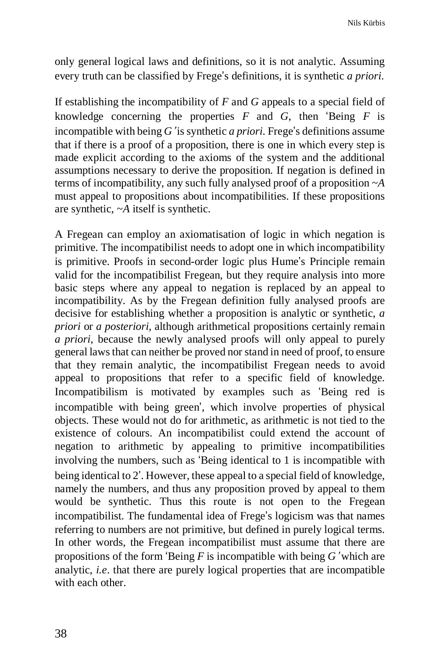only general logical laws and definitions, so it is not analytic. Assuming every truth can be classified by Frege's definitions, it is synthetic *a priori*.

If establishing the incompatibility of *F* and *G* appeals to a special field of knowledge concerning the properties *F* and *G*, then 'Being *F* is incompatible with being *G*' is synthetic *a priori*. Frege's definitions assume that if there is a proof of a proposition, there is one in which every step is made explicit according to the axioms of the system and the additional assumptions necessary to derive the proposition. If negation is defined in terms of incompatibility, any such fully analysed proof of a proposition ~*A* must appeal to propositions about incompatibilities. If these propositions are synthetic, ~*A* itself is synthetic.

A Fregean can employ an axiomatisation of logic in which negation is primitive. The incompatibilist needs to adopt one in which incompatibility is primitive. Proofs in second-order logic plus Hume's Principle remain valid for the incompatibilist Fregean, but they require analysis into more basic steps where any appeal to negation is replaced by an appeal to incompatibility. As by the Fregean definition fully analysed proofs are decisive for establishing whether a proposition is analytic or synthetic, *a priori* or *a posteriori*, although arithmetical propositions certainly remain *a priori*, because the newly analysed proofs will only appeal to purely general lawsthat can neither be proved nor stand in need of proof, to ensure that they remain analytic, the incompatibilist Fregean needs to avoid appeal to propositions that refer to a specific field of knowledge. Incompatibilism is motivated by examples such as 'Being red is incompatible with being green', which involve properties of physical objects. These would not do for arithmetic, as arithmetic is not tied to the existence of colours. An incompatibilist could extend the account of negation to arithmetic by appealing to primitive incompatibilities involving the numbers, such as 'Being identical to 1 is incompatible with being identical to 2'. However, these appeal to a special field of knowledge, namely the numbers, and thus any proposition proved by appeal to them would be synthetic. Thus this route is not open to the Fregean incompatibilist. The fundamental idea of Frege's logicism was that names referring to numbers are not primitive, but defined in purely logical terms. In other words, the Fregean incompatibilist must assume that there are propositions of the form 'Being *F* is incompatible with being *G*' which are analytic, *i.e*. that there are purely logical properties that are incompatible with each other.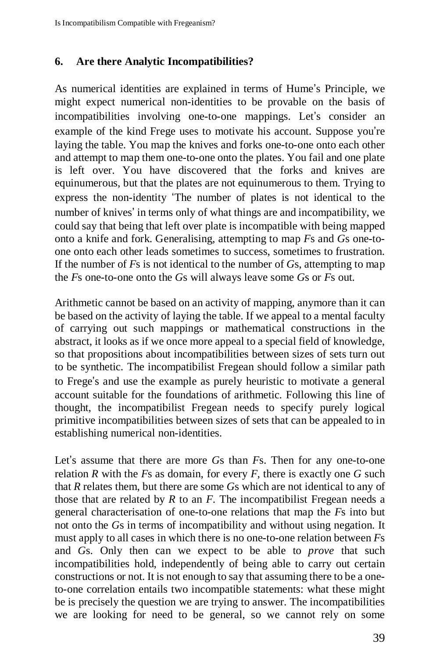### **6. Are there Analytic Incompatibilities?**

As numerical identities are explained in terms of Hume's Principle, we might expect numerical non-identities to be provable on the basis of incompatibilities involving one-to-one mappings. Let's consider an example of the kind Frege uses to motivate his account. Suppose you're laying the table. You map the knives and forks one-to-one onto each other and attempt to map them one-to-one onto the plates. You fail and one plate is left over. You have discovered that the forks and knives are equinumerous, but that the plates are not equinumerous to them. Trying to express the non-identity 'The number of plates is not identical to the number of knives' in terms only of what things are and incompatibility, we could say that being that left over plate is incompatible with being mapped onto a knife and fork. Generalising, attempting to map *F*s and *G*s one-toone onto each other leads sometimes to success, sometimes to frustration. If the number of *F*s is not identical to the number of *G*s, attempting to map the *F*s one-to-one onto the *G*s will always leave some *G*s or *F*s out.

Arithmetic cannot be based on an activity of mapping, anymore than it can be based on the activity of laying the table. If we appeal to a mental faculty of carrying out such mappings or mathematical constructions in the abstract, it looks as if we once more appeal to a special field of knowledge, so that propositions about incompatibilities between sizes of sets turn out to be synthetic. The incompatibilist Fregean should follow a similar path to Frege's and use the example as purely heuristic to motivate a general account suitable for the foundations of arithmetic. Following this line of thought, the incompatibilist Fregean needs to specify purely logical primitive incompatibilities between sizes of sets that can be appealed to in establishing numerical non-identities.

Let's assume that there are more *G*s than *F*s. Then for any one-to-one relation *R* with the *F*s as domain, for every *F*, there is exactly one *G* such that *R* relates them, but there are some *G*s which are not identical to any of those that are related by *R* to an *F*. The incompatibilist Fregean needs a general characterisation of one-to-one relations that map the *F*s into but not onto the *G*s in terms of incompatibility and without using negation. It must apply to all cases in which there is no one-to-one relation between *F*s and *G*s. Only then can we expect to be able to *prove* that such incompatibilities hold, independently of being able to carry out certain constructions or not. It is not enough to say that assuming there to be a oneto-one correlation entails two incompatible statements: what these might be is precisely the question we are trying to answer. The incompatibilities we are looking for need to be general, so we cannot rely on some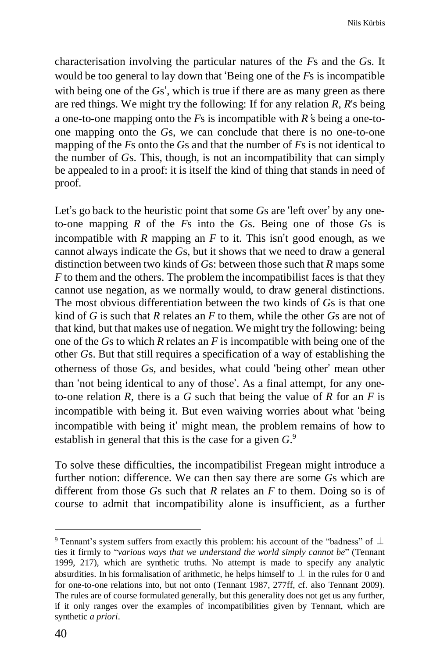characterisation involving the particular natures of the *F*s and the *G*s. It would be too general to lay down that 'Being one of the *F*s is incompatible with being one of the *G*s', which is true if there are as many green as there are red things. We might try the following: If for any relation *R*, *R*'s being a one-to-one mapping onto the *F*s is incompatible with *R*'s being a one-toone mapping onto the *G*s, we can conclude that there is no one-to-one mapping of the *F*s onto the *G*s and that the number of *F*s is not identical to the number of *G*s. This, though, is not an incompatibility that can simply be appealed to in a proof: it is itself the kind of thing that stands in need of proof.

Let's go back to the heuristic point that some *G*s are 'left over' by any oneto-one mapping *R* of the *F*s into the *G*s. Being one of those *G*s is incompatible with *R* mapping an *F* to it. This isn't good enough, as we cannot always indicate the *G*s, but it shows that we need to draw a general distinction between two kinds of *G*s: between those such that *R* maps some *F* to them and the others. The problem the incompatibilist faces is that they cannot use negation, as we normally would, to draw general distinctions. The most obvious differentiation between the two kinds of *G*s is that one kind of *G* is such that *R* relates an *F* to them, while the other *G*s are not of that kind, but that makes use of negation. We might try the following: being one of the *G*s to which *R* relates an *F* is incompatible with being one of the other *G*s. But that still requires a specification of a way of establishing the otherness of those *G*s, and besides, what could 'being other' mean other than 'not being identical to any of those'. As a final attempt, for any oneto-one relation *R*, there is a *G* such that being the value of *R* for an *F* is incompatible with being it. But even waiving worries about what 'being incompatible with being it' might mean, the problem remains of how to establish in general that this is the case for a given *G*. 9

To solve these difficulties, the incompatibilist Fregean might introduce a further notion: difference. We can then say there are some *G*s which are different from those *G*s such that *R* relates an *F* to them. Doing so is of course to admit that incompatibility alone is insufficient, as a further

<sup>9</sup> Tennant's system suffers from exactly this problem: his account of the "badness" of ⊥ ties it firmly to "*various ways that we understand the world simply cannot be*" (Tennant 1999, 217), which are synthetic truths. No attempt is made to specify any analytic absurdities. In his formalisation of arithmetic, he helps himself to  $\perp$  in the rules for 0 and for one-to-one relations into, but not onto (Tennant 1987, 277ff, cf. also Tennant 2009). The rules are of course formulated generally, but this generality does not get us any further, if it only ranges over the examples of incompatibilities given by Tennant, which are synthetic *a priori*.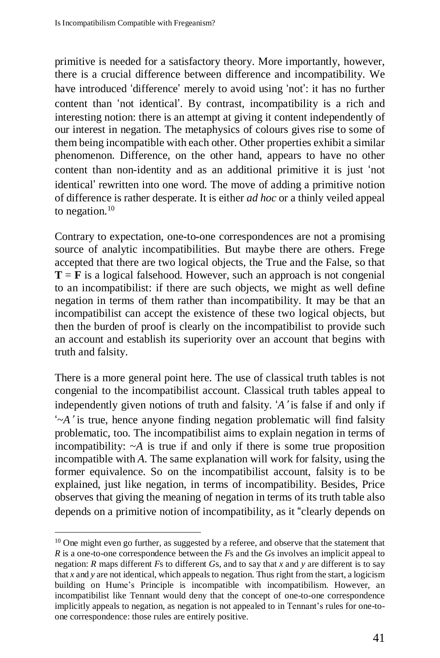primitive is needed for a satisfactory theory. More importantly, however, there is a crucial difference between difference and incompatibility. We have introduced 'difference' merely to avoid using 'not': it has no further content than 'not identical'. By contrast, incompatibility is a rich and interesting notion: there is an attempt at giving it content independently of our interest in negation. The metaphysics of colours gives rise to some of them being incompatible with each other. Other properties exhibit a similar phenomenon. Difference, on the other hand, appears to have no other content than non-identity and as an additional primitive it is just 'not identical' rewritten into one word. The move of adding a primitive notion of difference is rather desperate. It is either *ad hoc* or a thinly veiled appeal to negation.<sup>10</sup>

Contrary to expectation, one-to-one correspondences are not a promising source of analytic incompatibilities. But maybe there are others. Frege accepted that there are two logical objects, the True and the False, so that  $T = F$  is a logical falsehood. However, such an approach is not congenial to an incompatibilist: if there are such objects, we might as well define negation in terms of them rather than incompatibility. It may be that an incompatibilist can accept the existence of these two logical objects, but then the burden of proof is clearly on the incompatibilist to provide such an account and establish its superiority over an account that begins with truth and falsity.

There is a more general point here. The use of classical truth tables is not congenial to the incompatibilist account. Classical truth tables appeal to independently given notions of truth and falsity. '*A*' is false if and only if '~*A*' is true, hence anyone finding negation problematic will find falsity problematic, too. The incompatibilist aims to explain negation in terms of incompatibility:  $\neg A$  is true if and only if there is some true proposition incompatible with *A*. The same explanation will work for falsity, using the former equivalence. So on the incompatibilist account, falsity is to be explained, just like negation, in terms of incompatibility. Besides, Price observes that giving the meaning of negation in terms of its truth table also depends on a primitive notion of incompatibility, as it "clearly depends on

<sup>&</sup>lt;sup>10</sup> One might even go further, as suggested by a referee, and observe that the statement that *R* is a one-to-one correspondence between the *F*s and the *G*s involves an implicit appeal to negation: *R* maps different *F*s to different *G*s, and to say that *x* and *y* are different is to say that *x* and *y* are not identical, which appeals to negation. Thus right from the start, a logicism building on Hume's Principle is incompatible with incompatibilism. However, an incompatibilist like Tennant would deny that the concept of one-to-one correspondence implicitly appeals to negation, as negation is not appealed to in Tennant's rules for one-toone correspondence: those rules are entirely positive.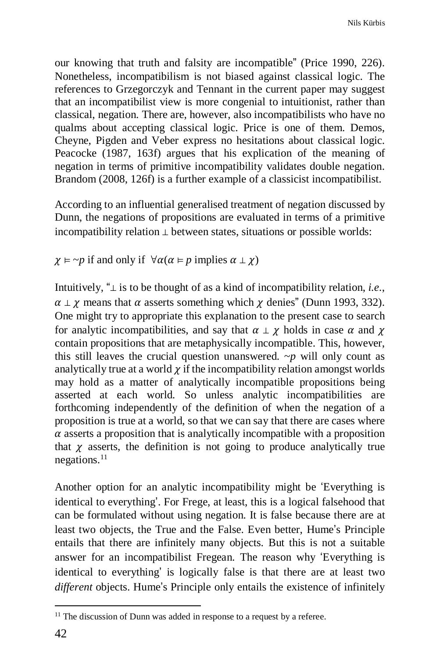our knowing that truth and falsity are incompatible" (Price 1990, 226). Nonetheless, incompatibilism is not biased against classical logic. The references to Grzegorczyk and Tennant in the current paper may suggest that an incompatibilist view is more congenial to intuitionist, rather than classical, negation. There are, however, also incompatibilists who have no qualms about accepting classical logic. Price is one of them. Demos, Cheyne, Pigden and Veber express no hesitations about classical logic. Peacocke (1987, 163f) argues that his explication of the meaning of negation in terms of primitive incompatibility validates double negation. Brandom (2008, 126f) is a further example of a classicist incompatibilist.

According to an influential generalised treatment of negation discussed by Dunn, the negations of propositions are evaluated in terms of a primitive incompatibility relation ⊥ between states, situations or possible worlds:

 $\chi \models \sim p$  if and only if  $\forall \alpha (\alpha \models p \text{ implies } \alpha \perp \chi)$ 

Intuitively, "⊥ is to be thought of as a kind of incompatibility relation, *i.e.*,  $\alpha \perp \gamma$  means that  $\alpha$  asserts something which  $\gamma$  denies" (Dunn 1993, 332). One might try to appropriate this explanation to the present case to search for analytic incompatibilities, and say that  $\alpha \perp \chi$  holds in case  $\alpha$  and  $\chi$ contain propositions that are metaphysically incompatible. This, however, this still leaves the crucial question unanswered.  $\neg p$  will only count as analytically true at a world  $\chi$  if the incompatibility relation amongst worlds may hold as a matter of analytically incompatible propositions being asserted at each world. So unless analytic incompatibilities are forthcoming independently of the definition of when the negation of a proposition is true at a world, so that we can say that there are cases where  $\alpha$  asserts a proposition that is analytically incompatible with a proposition that  $\chi$  asserts, the definition is not going to produce analytically true  $n$ egations.<sup>11</sup>

Another option for an analytic incompatibility might be 'Everything is identical to everything'. For Frege, at least, this is a logical falsehood that can be formulated without using negation. It is false because there are at least two objects, the True and the False. Even better, Hume's Principle entails that there are infinitely many objects. But this is not a suitable answer for an incompatibilist Fregean. The reason why 'Everything is identical to everything' is logically false is that there are at least two *different* objects. Hume's Principle only entails the existence of infinitely

 $\overline{a}$  $11$  The discussion of Dunn was added in response to a request by a referee.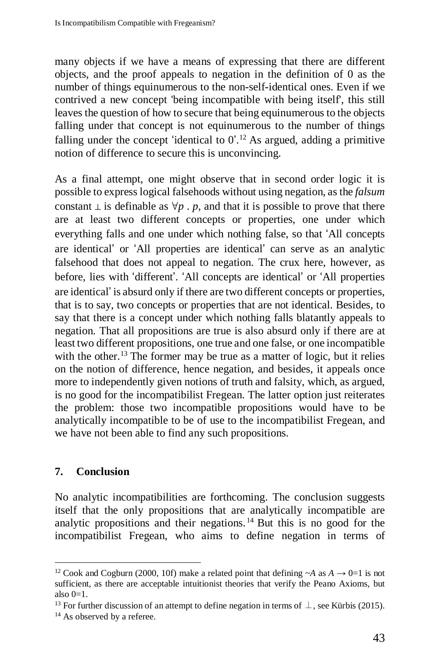many objects if we have a means of expressing that there are different objects, and the proof appeals to negation in the definition of 0 as the number of things equinumerous to the non-self-identical ones. Even if we contrived a new concept 'being incompatible with being itself', this still leaves the question of how to secure that being equinumerous to the objects falling under that concept is not equinumerous to the number of things falling under the concept 'identical to  $0'.^{12}$  As argued, adding a primitive notion of difference to secure this is unconvincing.

As a final attempt, one might observe that in second order logic it is possible to express logical falsehoods without using negation, as the *falsum* constant  $\perp$  is definable as  $\forall p \cdot p$ , and that it is possible to prove that there are at least two different concepts or properties, one under which everything falls and one under which nothing false, so that 'All concepts are identical' or 'All properties are identical' can serve as an analytic falsehood that does not appeal to negation. The crux here, however, as before, lies with 'different'. 'All concepts are identical' or 'All properties are identical' is absurd only if there are two different concepts or properties, that is to say, two concepts or properties that are not identical. Besides, to say that there is a concept under which nothing falls blatantly appeals to negation. That all propositions are true is also absurd only if there are at least two different propositions, one true and one false, or one incompatible with the other.<sup>13</sup> The former may be true as a matter of logic, but it relies on the notion of difference, hence negation, and besides, it appeals once more to independently given notions of truth and falsity, which, as argued, is no good for the incompatibilist Fregean. The latter option just reiterates the problem: those two incompatible propositions would have to be analytically incompatible to be of use to the incompatibilist Fregean, and we have not been able to find any such propositions.

# **7. Conclusion**

No analytic incompatibilities are forthcoming. The conclusion suggests itself that the only propositions that are analytically incompatible are analytic propositions and their negations. <sup>14</sup> But this is no good for the incompatibilist Fregean, who aims to define negation in terms of

 $\overline{a}$ <sup>12</sup> Cook and Cogburn (2000, 10f) make a related point that defining  $\sim$ A as  $A \rightarrow 0=1$  is not sufficient, as there are acceptable intuitionist theories that verify the Peano Axioms, but also  $0=1$ .

<sup>&</sup>lt;sup>13</sup> For further discussion of an attempt to define negation in terms of  $\perp$ , see Kürbis (2015).

<sup>&</sup>lt;sup>14</sup> As observed by a referee.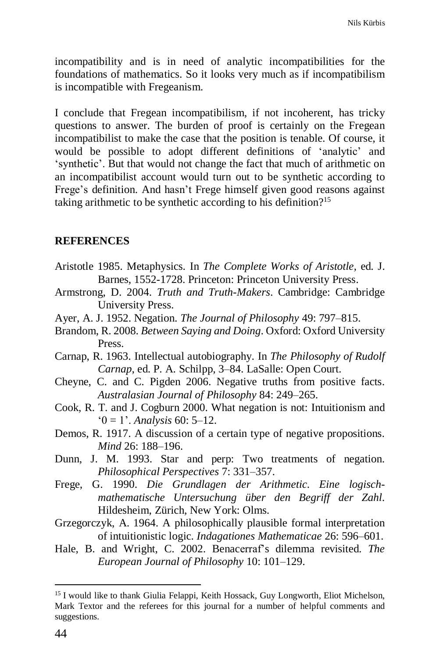incompatibility and is in need of analytic incompatibilities for the foundations of mathematics. So it looks very much as if incompatibilism is incompatible with Fregeanism.

I conclude that Fregean incompatibilism, if not incoherent, has tricky questions to answer. The burden of proof is certainly on the Fregean incompatibilist to make the case that the position is tenable. Of course, it would be possible to adopt different definitions of 'analytic' and 'synthetic'. But that would not change the fact that much of arithmetic on an incompatibilist account would turn out to be synthetic according to Frege's definition. And hasn't Frege himself given good reasons against taking arithmetic to be synthetic according to his definition?<sup>15</sup>

#### **REFERENCES**

- Aristotle 1985. Metaphysics. In *The Complete Works of Aristotle,* ed. J. Barnes, 1552-1728. Princeton: Princeton University Press.
- Armstrong, D. 2004. *Truth and Truth-Makers*. Cambridge: Cambridge University Press.
- Ayer, A. J. 1952. Negation. *The Journal of Philosophy* 49: 797–815.
- Brandom, R. 2008. *Between Saying and Doing*. Oxford: Oxford University Press.
- Carnap, R. 1963. Intellectual autobiography. In *The Philosophy of Rudolf Carnap*, ed. P. A. Schilpp, 3–84. LaSalle: Open Court.
- Cheyne, C. and C. Pigden 2006. Negative truths from positive facts. *Australasian Journal of Philosophy* 84: 249–265.
- Cook, R. T. and J. Cogburn 2000. What negation is not: Intuitionism and '0 = 1'. *Analysis* 60: 5–12.
- Demos, R. 1917. A discussion of a certain type of negative propositions. *Mind* 26: 188–196.
- Dunn, J. M. 1993. Star and perp: Two treatments of negation. *Philosophical Perspectives* 7: 331–357.
- Frege, G. 1990. *Die Grundlagen der Arithmetic. Eine logischmathematische Untersuchung über den Begriff der Zahl*. Hildesheim, Zürich, New York: Olms.
- Grzegorczyk, A. 1964. A philosophically plausible formal interpretation of intuitionistic logic. *Indagationes Mathematicae* 26: 596–601.
- Hale, B. and Wright, C. 2002. Benacerraf's dilemma revisited. *The European Journal of Philosophy* 10: 101–129.

<sup>&</sup>lt;sup>15</sup> I would like to thank Giulia Felappi, Keith Hossack, Guy Longworth, Eliot Michelson, Mark Textor and the referees for this journal for a number of helpful comments and suggestions.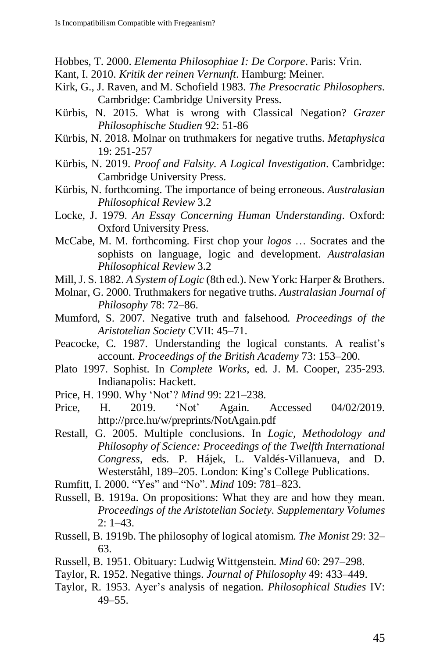- Hobbes, T. 2000. *Elementa Philosophiae I: De Corpore*. Paris: Vrin.
- Kant, I. 2010. *Kritik der reinen Vernunft*. Hamburg: Meiner.
- Kirk, G., J. Raven, and M. Schofield 1983. *The Presocratic Philosophers*. Cambridge: Cambridge University Press.
- Kürbis, N. 2015. What is wrong with Classical Negation? *Grazer Philosophische Studien* 92: 51-86
- Kürbis, N. 2018. Molnar on truthmakers for negative truths. *Metaphysica* 19: 251-257
- Kürbis, N. 2019. *Proof and Falsity. A Logical Investigation*. Cambridge: Cambridge University Press.
- Kürbis, N. forthcoming. The importance of being erroneous. *Australasian Philosophical Review* 3.2
- Locke, J. 1979. *An Essay Concerning Human Understanding*. Oxford: Oxford University Press.
- McCabe, M. M. forthcoming. First chop your *logos* … Socrates and the sophists on language, logic and development. *Australasian Philosophical Review* 3.2
- Mill,J. S. 1882. *A System of Logic* (8th ed.). New York: Harper & Brothers.
- Molnar, G. 2000. Truthmakers for negative truths. *Australasian Journal of Philosophy* 78: 72–86.
- Mumford, S. 2007. Negative truth and falsehood. *Proceedings of the Aristotelian Society* CVII: 45–71.
- Peacocke, C. 1987. Understanding the logical constants. A realist's account. *Proceedings of the British Academy* 73: 153–200.
- Plato 1997. Sophist. In *Complete Works*, ed. J. M. Cooper, 235-293. Indianapolis: Hackett.
- Price, H. 1990. Why 'Not'? *Mind* 99: 221–238.
- Price, H. 2019. 'Not' Again. Accessed 04/02/2019. http://prce.hu/w/preprints/NotAgain.pdf
- Restall, G. 2005. Multiple conclusions. In *Logic, Methodology and Philosophy of Science: Proceedings of the Twelfth International Congress*, eds. P. Hájek, L. Valdés-Villanueva, and D. Westerståhl, 189–205. London: King's College Publications.
- Rumfitt, I. 2000. "Yes" and "No". *Mind* 109: 781–823.
- Russell, B. 1919a. On propositions: What they are and how they mean. *Proceedings of the Aristotelian Society. Supplementary Volumes* 2: 1–43.
- Russell, B. 1919b. The philosophy of logical atomism. *The Monist* 29: 32– 63.
- Russell, B. 1951. Obituary: Ludwig Wittgenstein. *Mind* 60: 297–298.
- Taylor, R. 1952. Negative things. *Journal of Philosophy* 49: 433–449.
- Taylor, R. 1953. Ayer's analysis of negation. *Philosophical Studies* IV: 49–55.